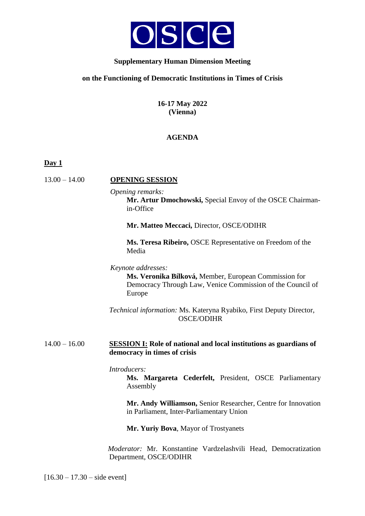

# **Supplementary Human Dimension Meeting**

## **on the Functioning of Democratic Institutions in Times of Crisis**

**16-17 May 2022 (Vienna)**

# **AGENDA**

**Day 1**

# 13.00 – 14.00 **OPENING SESSION**

*Opening remarks:*

**Mr. Artur Dmochowski,** Special Envoy of the OSCE Chairmanin-Office

**Mr. Matteo Meccaci,** Director, OSCE/ODIHR

**Ms. Teresa Ribeiro,** OSCE Representative on Freedom of the Media

*Keynote addresses:*

**Ms. Veronika Bílková,** Member, European Commission for Democracy Through Law, Venice Commission of the Council of Europe

*Technical information:* Ms. Kateryna Ryabiko, First Deputy Director, OSCE/ODIHR

## 14.00 – 16.00 **SESSION I: Role of national and local institutions as guardians of democracy in times of crisis**

*Introducers:*

**Ms. Margareta Cederfelt,** President, OSCE Parliamentary Assembly

**Mr. Andy Williamson,** Senior Researcher, Centre for Innovation in Parliament, Inter-Parliamentary Union

**Mr. Yuriy Bova**, Mayor of Trostyanets

*Moderator:* Mr. Konstantine Vardzelashvili Head, Democratization Department, OSCE/ODIHR